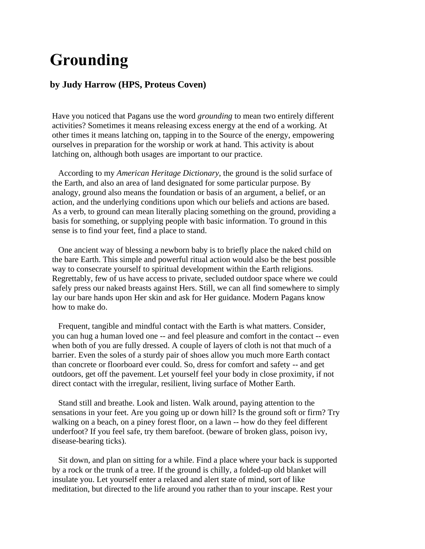## **Grounding**

## **by Judy Harrow (HPS, Proteus Coven)**

Have you noticed that Pagans use the word *grounding* to mean two entirely different activities? Sometimes it means releasing excess energy at the end of a working. At other times it means latching on, tapping in to the Source of the energy, empowering ourselves in preparation for the worship or work at hand. This activity is about latching on, although both usages are important to our practice.

According to my *American Heritage Dictionary,* the ground is the solid surface of the Earth, and also an area of land designated for some particular purpose. By analogy, ground also means the foundation or basis of an argument, a belief, or an action, and the underlying conditions upon which our beliefs and actions are based. As a verb, to ground can mean literally placing something on the ground, providing a basis for something, or supplying people with basic information. To ground in this sense is to find your feet, find a place to stand.

One ancient way of blessing a newborn baby is to briefly place the naked child on the bare Earth. This simple and powerful ritual action would also be the best possible way to consecrate yourself to spiritual development within the Earth religions. Regrettably, few of us have access to private, secluded outdoor space where we could safely press our naked breasts against Hers. Still, we can all find somewhere to simply lay our bare hands upon Her skin and ask for Her guidance. Modern Pagans know how to make do.

Frequent, tangible and mindful contact with the Earth is what matters. Consider, you can hug a human loved one -- and feel pleasure and comfort in the contact -- even when both of you are fully dressed. A couple of layers of cloth is not that much of a barrier. Even the soles of a sturdy pair of shoes allow you much more Earth contact than concrete or floorboard ever could. So, dress for comfort and safety -- and get outdoors, get off the pavement. Let yourself feel your body in close proximity, if not direct contact with the irregular, resilient, living surface of Mother Earth.

Stand still and breathe. Look and listen. Walk around, paying attention to the sensations in your feet. Are you going up or down hill? Is the ground soft or firm? Try walking on a beach, on a piney forest floor, on a lawn -- how do they feel different underfoot? If you feel safe, try them barefoot. (beware of broken glass, poison ivy, disease-bearing ticks).

Sit down, and plan on sitting for a while. Find a place where your back is supported by a rock or the trunk of a tree. If the ground is chilly, a folded-up old blanket will insulate you. Let yourself enter a relaxed and alert state of mind, sort of like meditation, but directed to the life around you rather than to your inscape. Rest your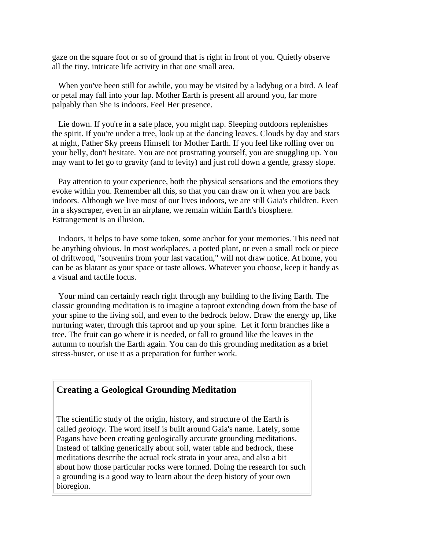gaze on the square foot or so of ground that is right in front of you. Quietly observe all the tiny, intricate life activity in that one small area.

When you've been still for awhile, you may be visited by a ladybug or a bird. A leaf or petal may fall into your lap. Mother Earth is present all around you, far more palpably than She is indoors. Feel Her presence.

Lie down. If you're in a safe place, you might nap. Sleeping outdoors replenishes the spirit. If you're under a tree, look up at the dancing leaves. Clouds by day and stars at night, Father Sky preens Himself for Mother Earth. If you feel like rolling over on your belly, don't hesitate. You are not prostrating yourself, you are snuggling up. You may want to let go to gravity (and to levity) and just roll down a gentle, grassy slope.

Pay attention to your experience, both the physical sensations and the emotions they evoke within you. Remember all this, so that you can draw on it when you are back indoors. Although we live most of our lives indoors, we are still Gaia's children. Even in a skyscraper, even in an airplane, we remain within Earth's biosphere. Estrangement is an illusion.

Indoors, it helps to have some token, some anchor for your memories. This need not be anything obvious. In most workplaces, a potted plant, or even a small rock or piece of driftwood, "souvenirs from your last vacation," will not draw notice. At home, you can be as blatant as your space or taste allows. Whatever you choose, keep it handy as a visual and tactile focus.

Your mind can certainly reach right through any building to the living Earth. The classic grounding meditation is to imagine a taproot extending down from the base of your spine to the living soil, and even to the bedrock below. Draw the energy up, like nurturing water, through this taproot and up your spine. Let it form branches like a tree. The fruit can go where it is needed, or fall to ground like the leaves in the autumn to nourish the Earth again. You can do this grounding meditation as a brief stress-buster, or use it as a preparation for further work.

## **Creating a Geological Grounding Meditation**

The scientific study of the origin, history, and structure of the Earth is called *geology*. The word itself is built around Gaia's name. Lately, some Pagans have been creating geologically accurate grounding meditations. Instead of talking generically about soil, water table and bedrock, these meditations describe the actual rock strata in your area, and also a bit about how those particular rocks were formed. Doing the research for such a grounding is a good way to learn about the deep history of your own bioregion.